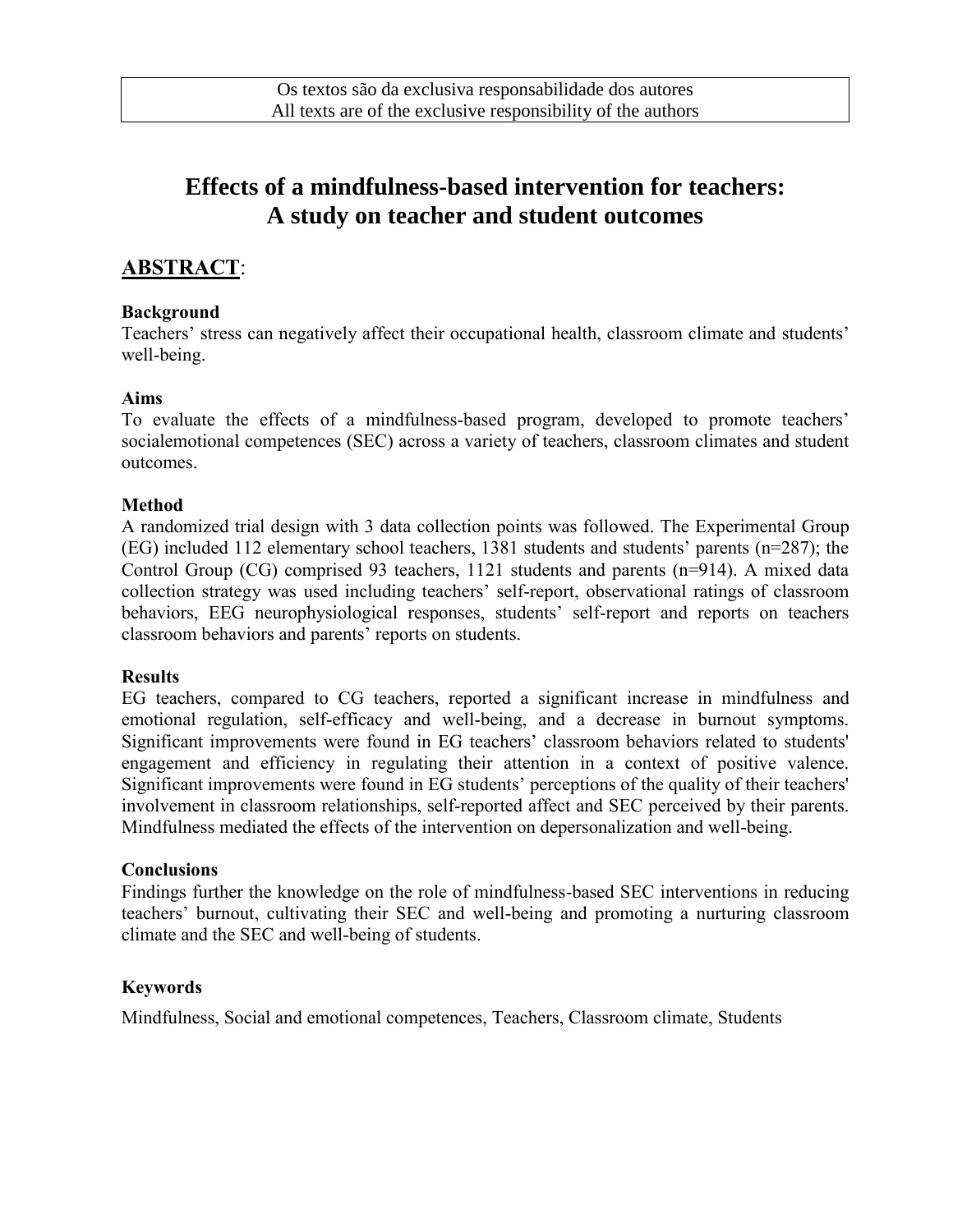# **Effects of a mindfulness-based intervention for teachers: A study on teacher and student outcomes**

# **ABSTRACT**:

## **Background**

Teachers' stress can negatively affect their occupational health, classroom climate and students' well-being.

### **Aims**

To evaluate the effects of a mindfulness-based program, developed to promote teachers' socialemotional competences (SEC) across a variety of teachers, classroom climates and student outcomes.

## **Method**

A randomized trial design with 3 data collection points was followed. The Experimental Group (EG) included 112 elementary school teachers, 1381 students and students' parents (n=287); the Control Group (CG) comprised 93 teachers, 1121 students and parents (n=914). A mixed data collection strategy was used including teachers' self-report, observational ratings of classroom behaviors, EEG neurophysiological responses, students' self-report and reports on teachers classroom behaviors and parents' reports on students.

#### **Results**

EG teachers, compared to CG teachers, reported a significant increase in mindfulness and emotional regulation, self-efficacy and well-being, and a decrease in burnout symptoms. Significant improvements were found in EG teachers' classroom behaviors related to students' engagement and efficiency in regulating their attention in a context of positive valence. Significant improvements were found in EG students' perceptions of the quality of their teachers' involvement in classroom relationships, self-reported affect and SEC perceived by their parents. Mindfulness mediated the effects of the intervention on depersonalization and well-being.

#### **Conclusions**

Findings further the knowledge on the role of mindfulness-based SEC interventions in reducing teachers' burnout, cultivating their SEC and well-being and promoting a nurturing classroom climate and the SEC and well-being of students.

## **Keywords**

Mindfulness, Social and emotional competences, Teachers, Classroom climate, Students